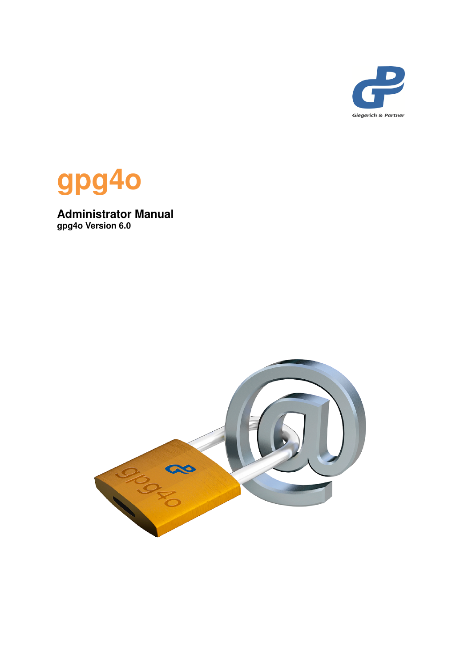



**Administrator Manual gpg4o Version 6.0**

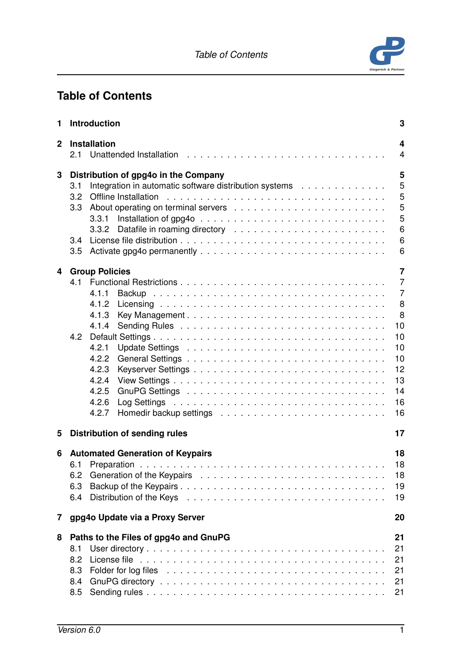*Table of Contents*



# **Table of Contents**

| 1            | <b>Introduction</b>                                                                                   |  | 3                   |
|--------------|-------------------------------------------------------------------------------------------------------|--|---------------------|
| $\mathbf{2}$ | <b>Installation</b><br>2.1                                                                            |  | 4<br>$\overline{4}$ |
| 3            | Distribution of gpg4o in the Company<br>Integration in automatic software distribution systems<br>3.1 |  | 5<br>5              |
|              | 3.2                                                                                                   |  | 5                   |
|              | 3.3                                                                                                   |  | 5<br>5              |
|              |                                                                                                       |  | 6                   |
|              | 3.4                                                                                                   |  | 6                   |
|              | 3.5                                                                                                   |  | 6                   |
| 4            | <b>Group Policies</b>                                                                                 |  | $\overline{7}$      |
|              |                                                                                                       |  | $\overline{7}$      |
|              | 4.1.1<br>4.1.2                                                                                        |  | $\overline{7}$<br>8 |
|              | 4.1.3                                                                                                 |  | 8                   |
|              | 4.1.4                                                                                                 |  | 10                  |
|              |                                                                                                       |  | 10                  |
|              | 4.2.1<br>4.2.2                                                                                        |  | 10<br>10            |
|              | 4.2.3                                                                                                 |  | 12                  |
|              | 4.2.4                                                                                                 |  | 13                  |
|              | 4.2.5<br>4.2.6                                                                                        |  | 14<br>16            |
|              | 4.2.7                                                                                                 |  | 16                  |
| 5            | <b>Distribution of sending rules</b>                                                                  |  | 17                  |
| 6            | <b>Automated Generation of Keypairs</b>                                                               |  | 18                  |
|              |                                                                                                       |  | 18                  |
|              | 6.2                                                                                                   |  | 18                  |
|              | 6.3<br>6.4                                                                                            |  | 19<br>19            |
|              |                                                                                                       |  |                     |
| 7            | gpg4o Update via a Proxy Server                                                                       |  | 20                  |
| 8            | Paths to the Files of gpg4o and GnuPG                                                                 |  | 21                  |
|              | 8.1<br>8.2                                                                                            |  | 21<br>21            |
|              | 8.3                                                                                                   |  | 21                  |
|              | 8.4                                                                                                   |  | 21                  |
|              | 8.5                                                                                                   |  | 21                  |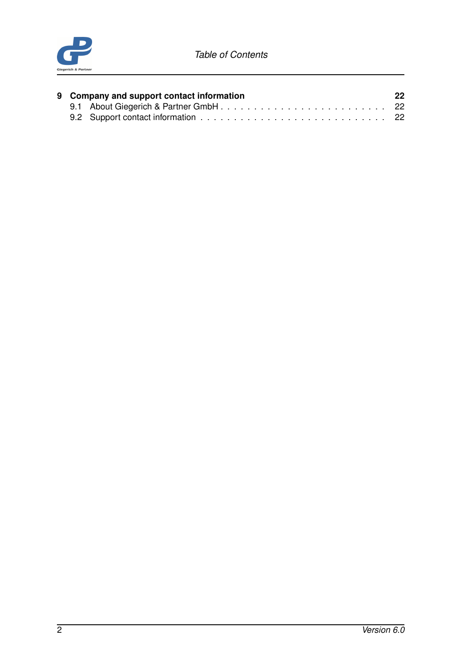

|  | 9 Company and support contact information | 22 |
|--|-------------------------------------------|----|
|  |                                           |    |
|  |                                           |    |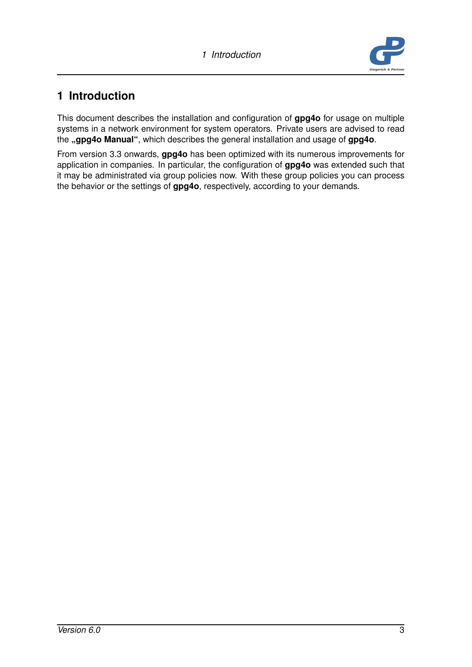

# <span id="page-4-0"></span>**1 Introduction**

This document describes the installation and configuration of **gpg4o** for usage on multiple systems in a network environment for system operators. Private users are advised to read the **"gpg4o Manual"**, which describes the general installation and usage of **gpg4o**.

From version 3.3 onwards, **gpg4o** has been optimized with its numerous improvements for application in companies. In particular, the configuration of **gpg4o** was extended such that it may be administrated via group policies now. With these group policies you can process the behavior or the settings of **gpg4o**, respectively, according to your demands.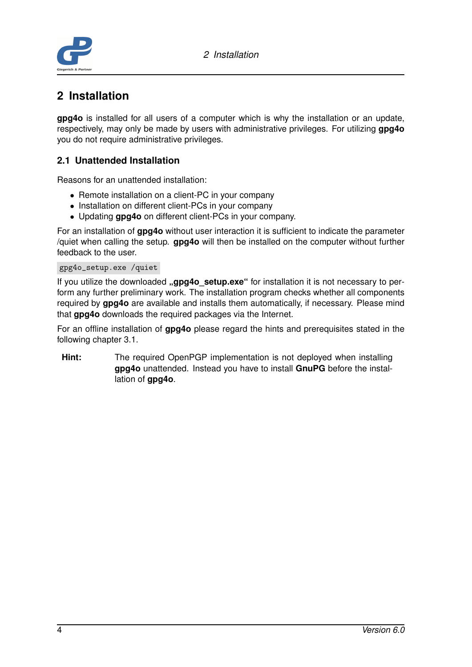*2 Installation*



# <span id="page-5-0"></span>**2 Installation**

**gpg4o** is installed for all users of a computer which is why the installation or an update, respectively, may only be made by users with administrative privileges. For utilizing **gpg4o** you do not require administrative privileges.

## <span id="page-5-1"></span>**2.1 Unattended Installation**

Reasons for an unattended installation:

- Remote installation on a client-PC in your company
- Installation on different client-PCs in your company
- Updating **gpg4o** on different client-PCs in your company.

For an installation of **gpg4o** without user interaction it is sufficient to indicate the parameter /quiet when calling the setup. **gpg4o** will then be installed on the computer without further feedback to the user.

### gpg4o\_setup.exe /quiet

If you utilize the downloaded **"gpg4o setup.exe**" for installation it is not necessary to perform any further preliminary work. The installation program checks whether all components required by **gpg4o** are available and installs them automatically, if necessary. Please mind that **gpg4o** downloads the required packages via the Internet.

For an offline installation of **gpg4o** please regard the hints and prerequisites stated in the following chapter [3.1.](#page-6-1)

**Hint:** The required OpenPGP implementation is not deployed when installing **gpg4o** unattended. Instead you have to install **GnuPG** before the installation of **gpg4o**.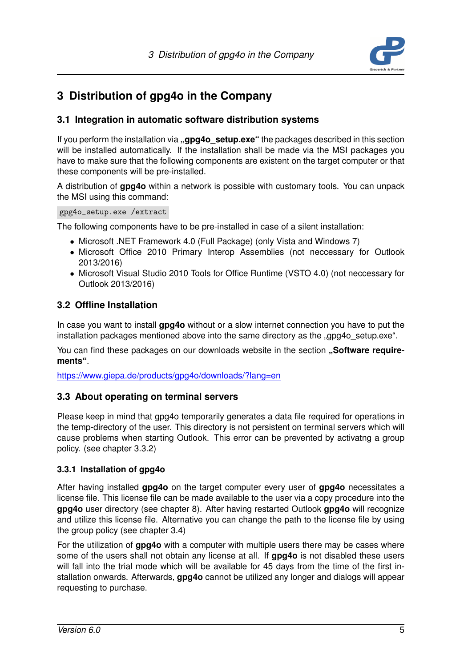

# <span id="page-6-0"></span>**3 Distribution of gpg4o in the Company**

## <span id="page-6-1"></span>**3.1 Integration in automatic software distribution systems**

If you perform the installation via **"gpg4o setup.exe**" the packages described in this section will be installed automatically. If the installation shall be made via the MSI packages you have to make sure that the following components are existent on the target computer or that these components will be pre-installed.

A distribution of **gpg4o** within a network is possible with customary tools. You can unpack the MSI using this command:

#### gpg4o\_setup.exe /extract

The following components have to be pre-installed in case of a silent installation:

- Microsoft .NET Framework 4.0 (Full Package) (only Vista and Windows 7)
- Microsoft Office 2010 Primary Interop Assemblies (not neccessary for Outlook 2013/2016)
- Microsoft Visual Studio 2010 Tools for Office Runtime (VSTO 4.0) (not neccessary for Outlook 2013/2016)

## <span id="page-6-2"></span>**3.2 Offline Installation**

In case you want to install **gpg4o** without or a slow internet connection you have to put the installation packages mentioned above into the same directory as the "gpg4o setup.exe".

You can find these packages on our downloads website in the section "Software require**ments"**.

<span id="page-6-3"></span><https://www.giepa.de/products/gpg4o/downloads/?lang=en>

### **3.3 About operating on terminal servers**

Please keep in mind that gpg4o temporarily generates a data file required for operations in the temp-directory of the user. This directory is not persistent on terminal servers which will cause problems when starting Outlook. This error can be prevented by activatng a group policy. (see chapter [3.3.2\)](#page-7-0)

### <span id="page-6-4"></span>**3.3.1 Installation of gpg4o**

After having installed **gpg4o** on the target computer every user of **gpg4o** necessitates a license file. This license file can be made available to the user via a copy procedure into the **gpg4o** user directory (see chapter [8\)](#page-22-0). After having restarted Outlook **gpg4o** will recognize and utilize this license file. Alternative you can change the path to the license file by using the group policy (see chapter [3.4\)](#page-7-1)

For the utilization of **gpg4o** with a computer with multiple users there may be cases where some of the users shall not obtain any license at all. If **gpg4o** is not disabled these users will fall into the trial mode which will be available for 45 days from the time of the first installation onwards. Afterwards, **gpg4o** cannot be utilized any longer and dialogs will appear requesting to purchase.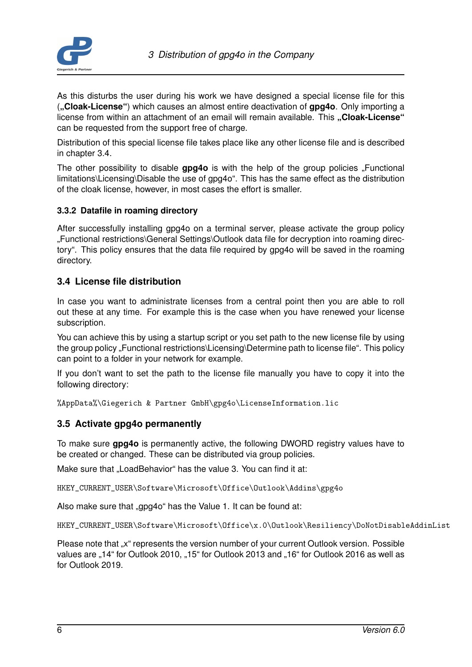

As this disturbs the user during his work we have designed a special license file for this (**"Cloak-License"**) which causes an almost entire deactivation of **gpg4o**. Only importing a license from within an attachment of an email will remain available. This "Cloak-License" can be requested from the support free of charge.

Distribution of this special license file takes place like any other license file and is described in chapter [3.4.](#page-7-1)

The other possibility to disable gpg4o is with the help of the group policies "Functional limitations\Licensing\Disable the use of gpg4o". This has the same effect as the distribution of the cloak license, however, in most cases the effort is smaller.

### <span id="page-7-0"></span>**3.3.2 Datafile in roaming directory**

After successfully installing gpg4o on a terminal server, please activate the group policy "Functional restrictions\General Settings\Outlook data file for decryption into roaming directory". This policy ensures that the data file required by gpg4o will be saved in the roaming directory.

## <span id="page-7-1"></span>**3.4 License file distribution**

In case you want to administrate licenses from a central point then you are able to roll out these at any time. For example this is the case when you have renewed your license subscription.

You can achieve this by using a startup script or you set path to the new license file by using the group policy "Functional restrictions\Licensing\Determine path to license file". This policy can point to a folder in your network for example.

If you don't want to set the path to the license file manually you have to copy it into the following directory:

%AppData%\Giegerich & Partner GmbH\gpg4o\LicenseInformation.lic

## <span id="page-7-2"></span>**3.5 Activate gpg4o permanently**

To make sure **gpg4o** is permanently active, the following DWORD registry values have to be created or changed. These can be distributed via group policies.

Make sure that "LoadBehavior" has the value 3. You can find it at:

HKEY\_CURRENT\_USER\Software\Microsoft\Office\Outlook\Addins\gpg4o

Also make sure that "gpg4o" has the Value 1. It can be found at:

HKEY\_CURRENT\_USER\Software\Microsoft\Office\x.0\Outlook\Resiliency\DoNotDisableAddinList

Please note that "x" represents the version number of your current Outlook version. Possible values are "14" for Outlook 2010, "15" for Outlook 2013 and "16" for Outlook 2016 as well as for Outlook 2019.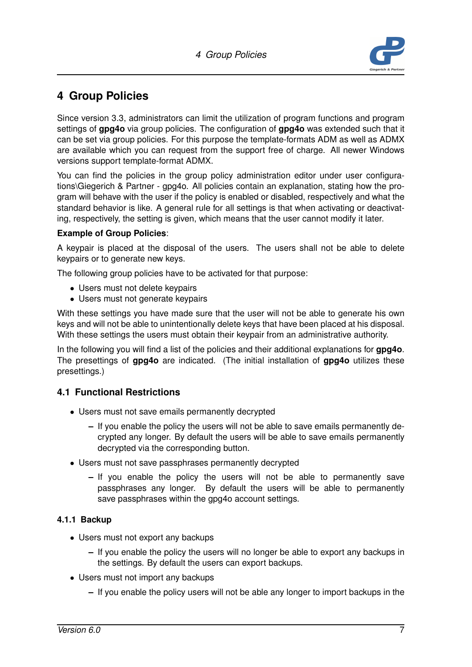

# <span id="page-8-0"></span>**4 Group Policies**

Since version 3.3, administrators can limit the utilization of program functions and program settings of **gpg4o** via group policies. The configuration of **gpg4o** was extended such that it can be set via group policies. For this purpose the template-formats ADM as well as ADMX are available which you can request from the support free of charge. All newer Windows versions support template-format ADMX.

You can find the policies in the group policy administration editor under user configurations\Giegerich & Partner - gpg4o. All policies contain an explanation, stating how the program will behave with the user if the policy is enabled or disabled, respectively and what the standard behavior is like. A general rule for all settings is that when activating or deactivating, respectively, the setting is given, which means that the user cannot modify it later.

### **Example of Group Policies**:

A keypair is placed at the disposal of the users. The users shall not be able to delete keypairs or to generate new keys.

The following group policies have to be activated for that purpose:

- Users must not delete keypairs
- Users must not generate keypairs

With these settings you have made sure that the user will not be able to generate his own keys and will not be able to unintentionally delete keys that have been placed at his disposal. With these settings the users must obtain their keypair from an administrative authority.

In the following you will find a list of the policies and their additional explanations for **gpg4o**. The presettings of **gpg4o** are indicated. (The initial installation of **gpg4o** utilizes these presettings.)

## <span id="page-8-1"></span>**4.1 Functional Restrictions**

- Users must not save emails permanently decrypted
	- **–** If you enable the policy the users will not be able to save emails permanently decrypted any longer. By default the users will be able to save emails permanently decrypted via the corresponding button.
- Users must not save passphrases permanently decrypted
	- **–** If you enable the policy the users will not be able to permanently save passphrases any longer. By default the users will be able to permanently save passphrases within the gpg4o account settings.

### <span id="page-8-2"></span>**4.1.1 Backup**

- Users must not export any backups
	- **–** If you enable the policy the users will no longer be able to export any backups in the settings. By default the users can export backups.
- Users must not import any backups
	- **–** If you enable the policy users will not be able any longer to import backups in the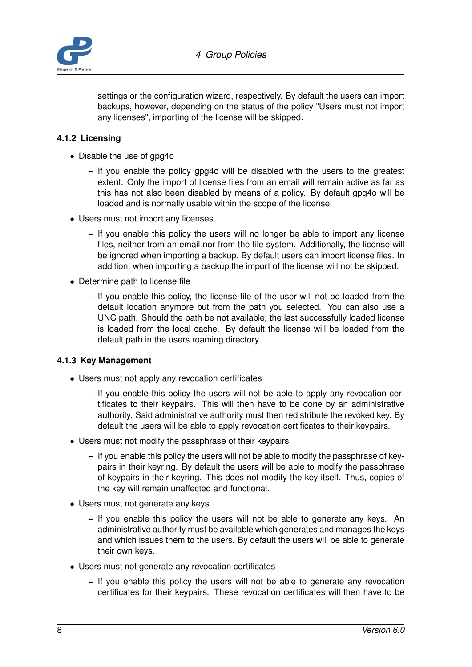

settings or the configuration wizard, respectively. By default the users can import backups, however, depending on the status of the policy "Users must not import any licenses", importing of the license will be skipped.

### <span id="page-9-0"></span>**4.1.2 Licensing**

- Disable the use of gpg4o
	- **–** If you enable the policy gpg4o will be disabled with the users to the greatest extent. Only the import of license files from an email will remain active as far as this has not also been disabled by means of a policy. By default gpg4o will be loaded and is normally usable within the scope of the license.
- Users must not import any licenses
	- **–** If you enable this policy the users will no longer be able to import any license files, neither from an email nor from the file system. Additionally, the license will be ignored when importing a backup. By default users can import license files. In addition, when importing a backup the import of the license will not be skipped.
- Determine path to license file
	- **–** If you enable this policy, the license file of the user will not be loaded from the default location anymore but from the path you selected. You can also use a UNC path. Should the path be not available, the last successfully loaded license is loaded from the local cache. By default the license will be loaded from the default path in the users roaming directory.

#### <span id="page-9-1"></span>**4.1.3 Key Management**

- Users must not apply any revocation certificates
	- **–** If you enable this policy the users will not be able to apply any revocation certificates to their keypairs. This will then have to be done by an administrative authority. Said administrative authority must then redistribute the revoked key. By default the users will be able to apply revocation certificates to their keypairs.
- Users must not modify the passphrase of their keypairs
	- **–** If you enable this policy the users will not be able to modify the passphrase of keypairs in their keyring. By default the users will be able to modify the passphrase of keypairs in their keyring. This does not modify the key itself. Thus, copies of the key will remain unaffected and functional.
- Users must not generate any keys
	- **–** If you enable this policy the users will not be able to generate any keys. An administrative authority must be available which generates and manages the keys and which issues them to the users. By default the users will be able to generate their own keys.
- Users must not generate any revocation certificates
	- **–** If you enable this policy the users will not be able to generate any revocation certificates for their keypairs. These revocation certificates will then have to be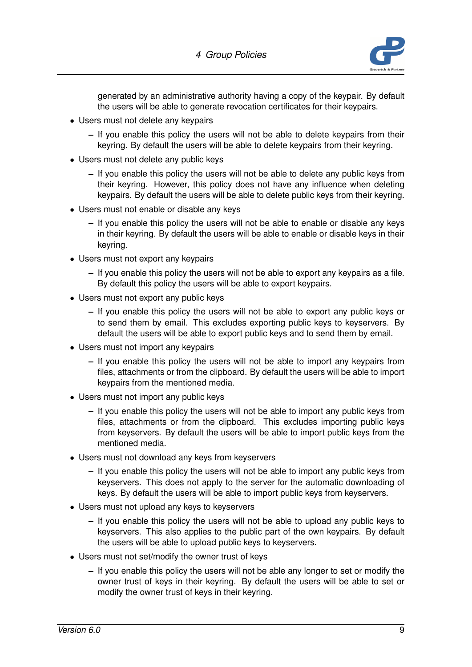

generated by an administrative authority having a copy of the keypair. By default the users will be able to generate revocation certificates for their keypairs.

- Users must not delete any keypairs
	- **–** If you enable this policy the users will not be able to delete keypairs from their keyring. By default the users will be able to delete keypairs from their keyring.
- Users must not delete any public keys
	- **–** If you enable this policy the users will not be able to delete any public keys from their keyring. However, this policy does not have any influence when deleting keypairs. By default the users will be able to delete public keys from their keyring.
- Users must not enable or disable any keys
	- **–** If you enable this policy the users will not be able to enable or disable any keys in their keyring. By default the users will be able to enable or disable keys in their keyring.
- Users must not export any keypairs
	- **–** If you enable this policy the users will not be able to export any keypairs as a file. By default this policy the users will be able to export keypairs.
- Users must not export any public keys
	- **–** If you enable this policy the users will not be able to export any public keys or to send them by email. This excludes exporting public keys to keyservers. By default the users will be able to export public keys and to send them by email.
- Users must not import any keypairs
	- **–** If you enable this policy the users will not be able to import any keypairs from files, attachments or from the clipboard. By default the users will be able to import keypairs from the mentioned media.
- Users must not import any public keys
	- **–** If you enable this policy the users will not be able to import any public keys from files, attachments or from the clipboard. This excludes importing public keys from keyservers. By default the users will be able to import public keys from the mentioned media.
- Users must not download any keys from keyservers
	- **–** If you enable this policy the users will not be able to import any public keys from keyservers. This does not apply to the server for the automatic downloading of keys. By default the users will be able to import public keys from keyservers.
- Users must not upload any keys to keyservers
	- **–** If you enable this policy the users will not be able to upload any public keys to keyservers. This also applies to the public part of the own keypairs. By default the users will be able to upload public keys to keyservers.
- Users must not set/modify the owner trust of keys
	- **–** If you enable this policy the users will not be able any longer to set or modify the owner trust of keys in their keyring. By default the users will be able to set or modify the owner trust of keys in their keyring.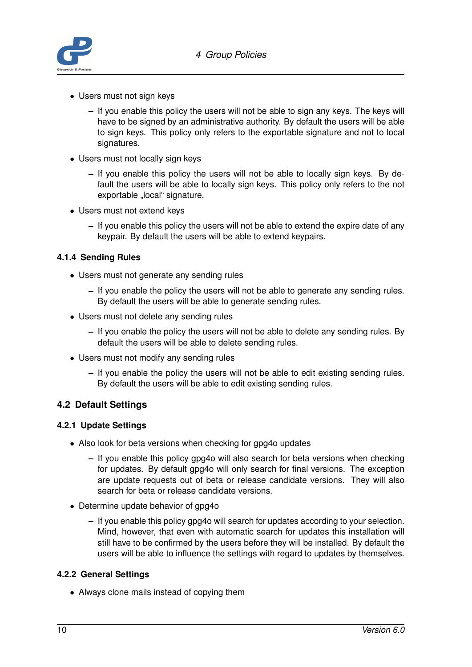

- Users must not sign keys
	- **–** If you enable this policy the users will not be able to sign any keys. The keys will have to be signed by an administrative authority. By default the users will be able to sign keys. This policy only refers to the exportable signature and not to local signatures.
- Users must not locally sign keys
	- **–** If you enable this policy the users will not be able to locally sign keys. By default the users will be able to locally sign keys. This policy only refers to the not exportable "local" signature.
- Users must not extend keys
	- **–** If you enable this policy the users will not be able to extend the expire date of any keypair. By default the users will be able to extend keypairs.

### <span id="page-11-0"></span>**4.1.4 Sending Rules**

- Users must not generate any sending rules
	- **–** If you enable the policy the users will not be able to generate any sending rules. By default the users will be able to generate sending rules.
- Users must not delete any sending rules
	- **–** If you enable the policy the users will not be able to delete any sending rules. By default the users will be able to delete sending rules.
- Users must not modify any sending rules
	- **–** If you enable the policy the users will not be able to edit existing sending rules. By default the users will be able to edit existing sending rules.

## <span id="page-11-1"></span>**4.2 Default Settings**

#### <span id="page-11-2"></span>**4.2.1 Update Settings**

- Also look for beta versions when checking for gpg4o updates
	- **–** If you enable this policy gpg4o will also search for beta versions when checking for updates. By default gpg4o will only search for final versions. The exception are update requests out of beta or release candidate versions. They will also search for beta or release candidate versions.
- Determine update behavior of gpg4o
	- **–** If you enable this policy gpg4o will search for updates according to your selection. Mind, however, that even with automatic search for updates this installation will still have to be confirmed by the users before they will be installed. By default the users will be able to influence the settings with regard to updates by themselves.

#### <span id="page-11-3"></span>**4.2.2 General Settings**

• Always clone mails instead of copying them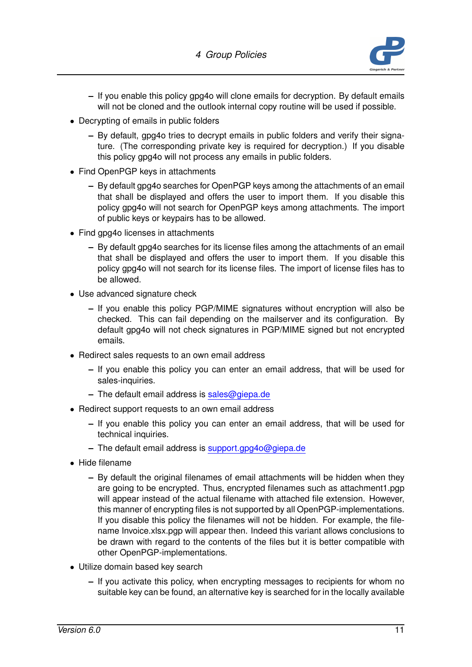

- **–** If you enable this policy gpg4o will clone emails for decryption. By default emails will not be cloned and the outlook internal copy routine will be used if possible.
- Decrypting of emails in public folders
	- **–** By default, gpg4o tries to decrypt emails in public folders and verify their signature. (The corresponding private key is required for decryption.) If you disable this policy gpg4o will not process any emails in public folders.
- Find OpenPGP keys in attachments
	- **–** By default gpg4o searches for OpenPGP keys among the attachments of an email that shall be displayed and offers the user to import them. If you disable this policy gpg4o will not search for OpenPGP keys among attachments. The import of public keys or keypairs has to be allowed.
- Find gpg4o licenses in attachments
	- **–** By default gpg4o searches for its license files among the attachments of an email that shall be displayed and offers the user to import them. If you disable this policy gpg4o will not search for its license files. The import of license files has to be allowed.
- Use advanced signature check
	- **–** If you enable this policy PGP/MIME signatures without encryption will also be checked. This can fail depending on the mailserver and its configuration. By default gpg4o will not check signatures in PGP/MIME signed but not encrypted emails.
- Redirect sales requests to an own email address
	- **–** If you enable this policy you can enter an email address, that will be used for sales-inquiries.
	- **–** The default email address is <sales@giepa.de>
- Redirect support requests to an own email address
	- **–** If you enable this policy you can enter an email address, that will be used for technical inquiries.
	- **–** The default email address is <support.gpg4o@giepa.de>
- Hide filename
	- **–** By default the original filenames of email attachments will be hidden when they are going to be encrypted. Thus, encrypted filenames such as attachment1.pgp will appear instead of the actual filename with attached file extension. However, this manner of encrypting files is not supported by all OpenPGP-implementations. If you disable this policy the filenames will not be hidden. For example, the filename Invoice.xlsx.pgp will appear then. Indeed this variant allows conclusions to be drawn with regard to the contents of the files but it is better compatible with other OpenPGP-implementations.
- Utilize domain based key search
	- **–** If you activate this policy, when encrypting messages to recipients for whom no suitable key can be found, an alternative key is searched for in the locally available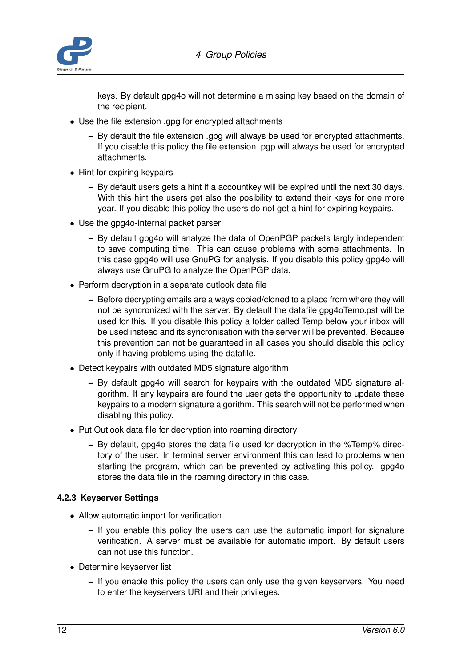

keys. By default gpg4o will not determine a missing key based on the domain of the recipient.

- Use the file extension .gpg for encrypted attachments
	- **–** By default the file extension .gpg will always be used for encrypted attachments. If you disable this policy the file extension .pgp will always be used for encrypted attachments.
- Hint for expiring keypairs
	- **–** By default users gets a hint if a accountkey will be expired until the next 30 days. With this hint the users get also the posibility to extend their keys for one more year. If you disable this policy the users do not get a hint for expiring keypairs.
- Use the gpg4o-internal packet parser
	- **–** By default gpg4o will analyze the data of OpenPGP packets largly independent to save computing time. This can cause problems with some attachments. In this case gpg4o will use GnuPG for analysis. If you disable this policy gpg4o will always use GnuPG to analyze the OpenPGP data.
- Perform decryption in a separate outlook data file
	- **–** Before decrypting emails are always copied/cloned to a place from where they will not be syncronized with the server. By default the datafile gpg4oTemo.pst will be used for this. If you disable this policy a folder called Temp below your inbox will be used instead and its syncronisation with the server will be prevented. Because this prevention can not be guaranteed in all cases you should disable this policy only if having problems using the datafile.
- Detect keypairs with outdated MD5 signature algorithm
	- **–** By default gpg4o will search for keypairs with the outdated MD5 signature algorithm. If any keypairs are found the user gets the opportunity to update these keypairs to a modern signature algorithm. This search will not be performed when disabling this policy.
- Put Outlook data file for decryption into roaming directory
	- **–** By default, gpg4o stores the data file used for decryption in the %Temp% directory of the user. In terminal server environment this can lead to problems when starting the program, which can be prevented by activating this policy. gpg4o stores the data file in the roaming directory in this case.

#### <span id="page-13-0"></span>**4.2.3 Keyserver Settings**

- Allow automatic import for verification
	- **–** If you enable this policy the users can use the automatic import for signature verification. A server must be available for automatic import. By default users can not use this function.
- Determine keyserver list
	- **–** If you enable this policy the users can only use the given keyservers. You need to enter the keyservers URI and their privileges.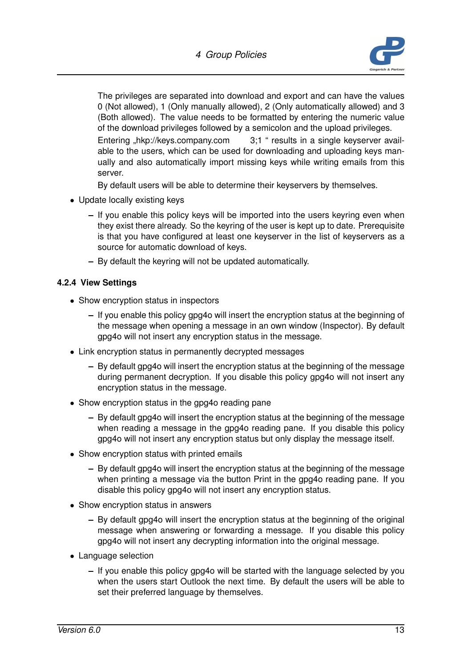

The privileges are separated into download and export and can have the values 0 (Not allowed), 1 (Only manually allowed), 2 (Only automatically allowed) and 3 (Both allowed). The value needs to be formatted by entering the numeric value of the download privileges followed by a semicolon and the upload privileges.

Entering "hkp://keys.company.com 3;1 " results in a single keyserver available to the users, which can be used for downloading and uploading keys manually and also automatically import missing keys while writing emails from this server.

By default users will be able to determine their keyservers by themselves.

- Update locally existing keys
	- **–** If you enable this policy keys will be imported into the users keyring even when they exist there already. So the keyring of the user is kept up to date. Prerequisite is that you have configured at least one keyserver in the list of keyservers as a source for automatic download of keys.
	- **–** By default the keyring will not be updated automatically.

### <span id="page-14-0"></span>**4.2.4 View Settings**

- Show encryption status in inspectors
	- **–** If you enable this policy gpg4o will insert the encryption status at the beginning of the message when opening a message in an own window (Inspector). By default gpg4o will not insert any encryption status in the message.
- Link encryption status in permanently decrypted messages
	- **–** By default gpg4o will insert the encryption status at the beginning of the message during permanent decryption. If you disable this policy gpg4o will not insert any encryption status in the message.
- Show encryption status in the gpg4o reading pane
	- **–** By default gpg4o will insert the encryption status at the beginning of the message when reading a message in the gpg4o reading pane. If you disable this policy gpg4o will not insert any encryption status but only display the message itself.
- Show encryption status with printed emails
	- **–** By default gpg4o will insert the encryption status at the beginning of the message when printing a message via the button Print in the gpg4o reading pane. If you disable this policy gpg4o will not insert any encryption status.
- Show encryption status in answers
	- **–** By default gpg4o will insert the encryption status at the beginning of the original message when answering or forwarding a message. If you disable this policy gpg4o will not insert any decrypting information into the original message.
- Language selection
	- **–** If you enable this policy gpg4o will be started with the language selected by you when the users start Outlook the next time. By default the users will be able to set their preferred language by themselves.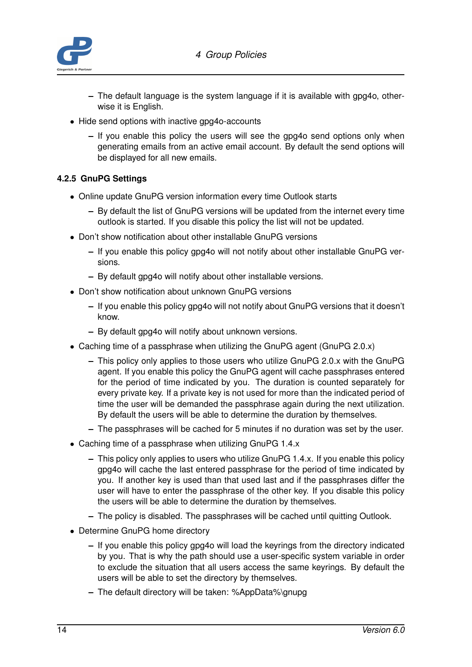

- **–** The default language is the system language if it is available with gpg4o, otherwise it is English.
- Hide send options with inactive gpg4o-accounts
	- **–** If you enable this policy the users will see the gpg4o send options only when generating emails from an active email account. By default the send options will be displayed for all new emails.

### <span id="page-15-0"></span>**4.2.5 GnuPG Settings**

- Online update GnuPG version information every time Outlook starts
	- **–** By default the list of GnuPG versions will be updated from the internet every time outlook is started. If you disable this policy the list will not be updated.
- Don't show notification about other installable GnuPG versions
	- **–** If you enable this policy gpg4o will not notify about other installable GnuPG versions.
	- **–** By default gpg4o will notify about other installable versions.
- Don't show notification about unknown GnuPG versions
	- **–** If you enable this policy gpg4o will not notify about GnuPG versions that it doesn't know.
	- **–** By default gpg4o will notify about unknown versions.
- Caching time of a passphrase when utilizing the GnuPG agent (GnuPG 2.0.x)
	- **–** This policy only applies to those users who utilize GnuPG 2.0.x with the GnuPG agent. If you enable this policy the GnuPG agent will cache passphrases entered for the period of time indicated by you. The duration is counted separately for every private key. If a private key is not used for more than the indicated period of time the user will be demanded the passphrase again during the next utilization. By default the users will be able to determine the duration by themselves.
	- **–** The passphrases will be cached for 5 minutes if no duration was set by the user.
- Caching time of a passphrase when utilizing GnuPG 1.4.x
	- **–** This policy only applies to users who utilize GnuPG 1.4.x. If you enable this policy gpg4o will cache the last entered passphrase for the period of time indicated by you. If another key is used than that used last and if the passphrases differ the user will have to enter the passphrase of the other key. If you disable this policy the users will be able to determine the duration by themselves.
	- **–** The policy is disabled. The passphrases will be cached until quitting Outlook.
- Determine GnuPG home directory
	- **–** If you enable this policy gpg4o will load the keyrings from the directory indicated by you. That is why the path should use a user-specific system variable in order to exclude the situation that all users access the same keyrings. By default the users will be able to set the directory by themselves.
	- **–** The default directory will be taken: %AppData%\gnupg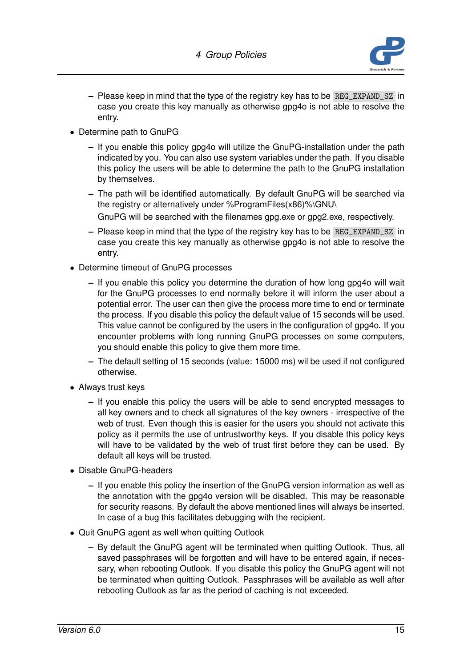

- **–** Please keep in mind that the type of the registry key has to be REG\_EXPAND\_SZ in case you create this key manually as otherwise gpg4o is not able to resolve the entry.
- Determine path to GnuPG
	- **–** If you enable this policy gpg4o will utilize the GnuPG-installation under the path indicated by you. You can also use system variables under the path. If you disable this policy the users will be able to determine the path to the GnuPG installation by themselves.
	- **–** The path will be identified automatically. By default GnuPG will be searched via the registry or alternatively under %ProgramFiles(x86)%\GNU\
		- GnuPG will be searched with the filenames gpg.exe or gpg2.exe, respectively.
	- **–** Please keep in mind that the type of the registry key has to be REG\_EXPAND\_SZ in case you create this key manually as otherwise gpg4o is not able to resolve the entry.
- Determine timeout of GnuPG processes
	- **–** If you enable this policy you determine the duration of how long gpg4o will wait for the GnuPG processes to end normally before it will inform the user about a potential error. The user can then give the process more time to end or terminate the process. If you disable this policy the default value of 15 seconds will be used. This value cannot be configured by the users in the configuration of gpg4o. If you encounter problems with long running GnuPG processes on some computers, you should enable this policy to give them more time.
	- **–** The default setting of 15 seconds (value: 15000 ms) wil be used if not configured otherwise.
- Always trust keys
	- **–** If you enable this policy the users will be able to send encrypted messages to all key owners and to check all signatures of the key owners - irrespective of the web of trust. Even though this is easier for the users you should not activate this policy as it permits the use of untrustworthy keys. If you disable this policy keys will have to be validated by the web of trust first before they can be used. By default all keys will be trusted.
- Disable GnuPG-headers
	- **–** If you enable this policy the insertion of the GnuPG version information as well as the annotation with the gpg4o version will be disabled. This may be reasonable for security reasons. By default the above mentioned lines will always be inserted. In case of a bug this facilitates debugging with the recipient.
- <span id="page-16-0"></span>• Quit GnuPG agent as well when quitting Outlook
	- **–** By default the GnuPG agent will be terminated when quitting Outlook. Thus, all saved passphrases will be forgotten and will have to be entered again, if necessary, when rebooting Outlook. If you disable this policy the GnuPG agent will not be terminated when quitting Outlook. Passphrases will be available as well after rebooting Outlook as far as the period of caching is not exceeded.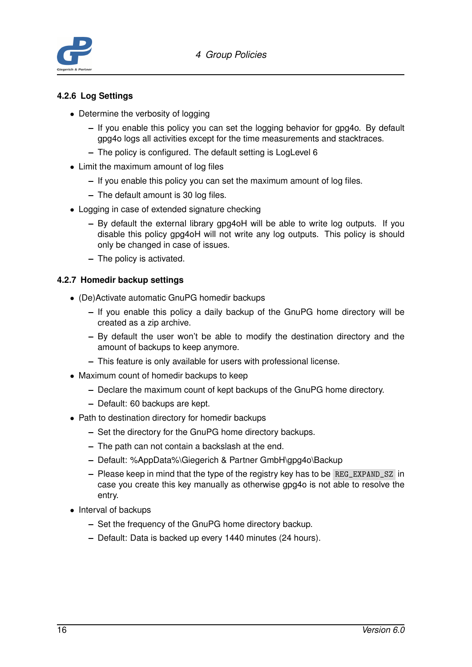

### **4.2.6 Log Settings**

- Determine the verbosity of logging
	- **–** If you enable this policy you can set the logging behavior for gpg4o. By default gpg4o logs all activities except for the time measurements and stacktraces.
	- **–** The policy is configured. The default setting is LogLevel 6
- Limit the maximum amount of log files
	- **–** If you enable this policy you can set the maximum amount of log files.
	- **–** The default amount is 30 log files.
- Logging in case of extended signature checking
	- **–** By default the external library gpg4oH will be able to write log outputs. If you disable this policy gpg4oH will not write any log outputs. This policy is should only be changed in case of issues.
	- **–** The policy is activated.

### <span id="page-17-0"></span>**4.2.7 Homedir backup settings**

- (De)Activate automatic GnuPG homedir backups
	- **–** If you enable this policy a daily backup of the GnuPG home directory will be created as a zip archive.
	- **–** By default the user won't be able to modify the destination directory and the amount of backups to keep anymore.
	- **–** This feature is only available for users with professional license.
- Maximum count of homedir backups to keep
	- **–** Declare the maximum count of kept backups of the GnuPG home directory.
	- **–** Default: 60 backups are kept.
- Path to destination directory for homedir backups
	- **–** Set the directory for the GnuPG home directory backups.
	- **–** The path can not contain a backslash at the end.
	- **–** Default: %AppData%\Giegerich & Partner GmbH\gpg4o\Backup
	- **–** Please keep in mind that the type of the registry key has to be REG\_EXPAND\_SZ in case you create this key manually as otherwise gpg4o is not able to resolve the entry.
- Interval of backups
	- **–** Set the frequency of the GnuPG home directory backup.
	- **–** Default: Data is backed up every 1440 minutes (24 hours).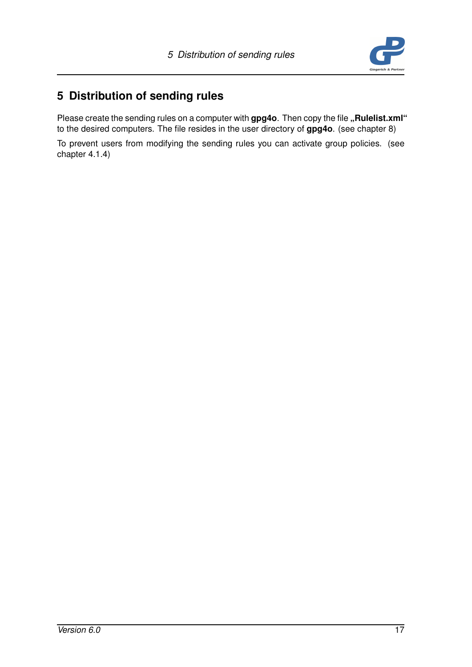

# <span id="page-18-0"></span>**5 Distribution of sending rules**

Please create the sending rules on a computer with gpg4o. Then copy the file "Rulelist.xml" to the desired computers. The file resides in the user directory of **gpg4o**. (see chapter [8\)](#page-22-0)

To prevent users from modifying the sending rules you can activate group policies. (see chapter [4.1.4\)](#page-11-0)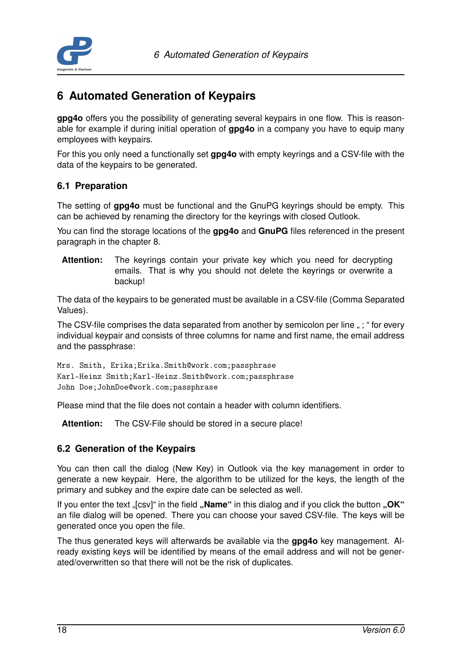

# <span id="page-19-0"></span>**6 Automated Generation of Keypairs**

**gpg4o** offers you the possibility of generating several keypairs in one flow. This is reasonable for example if during initial operation of **gpg4o** in a company you have to equip many employees with keypairs.

For this you only need a functionally set **gpg4o** with empty keyrings and a CSV-file with the data of the keypairs to be generated.

## <span id="page-19-1"></span>**6.1 Preparation**

The setting of **gpg4o** must be functional and the GnuPG keyrings should be empty. This can be achieved by renaming the directory for the keyrings with closed Outlook.

You can find the storage locations of the **gpg4o** and **GnuPG** files referenced in the present paragraph in the chapter [8.](#page-22-0)

**Attention:** The keyrings contain your private key which you need for decrypting emails. That is why you should not delete the keyrings or overwrite a backup!

The data of the keypairs to be generated must be available in a CSV-file (Comma Separated Values).

The CSV-file comprises the data separated from another by semicolon per line "; " for every individual keypair and consists of three columns for name and first name, the email address and the passphrase:

```
Mrs. Smith, Erika;Erika.Smith@work.com;passphrase
Karl-Heinz Smith;Karl-Heinz.Smith@work.com;passphrase
John Doe;JohnDoe@work.com;passphrase
```
Please mind that the file does not contain a header with column identifiers.

**Attention:** The CSV-File should be stored in a secure place!

## <span id="page-19-2"></span>**6.2 Generation of the Keypairs**

You can then call the dialog (New Key) in Outlook via the key management in order to generate a new keypair. Here, the algorithm to be utilized for the keys, the length of the primary and subkey and the expire date can be selected as well.

If you enter the text "[csv]" in the field "**Name**" in this dialog and if you click the button "OK" an file dialog will be opened. There you can choose your saved CSV-file. The keys will be generated once you open the file.

<span id="page-19-3"></span>The thus generated keys will afterwards be available via the **gpg4o** key management. Already existing keys will be identified by means of the email address and will not be generated/overwritten so that there will not be the risk of duplicates.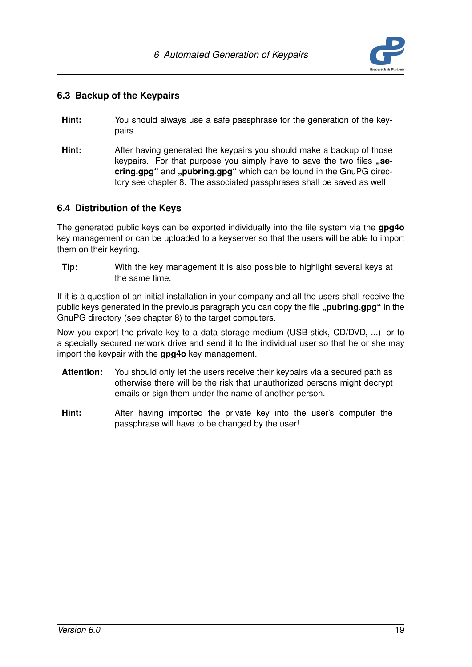

## **6.3 Backup of the Keypairs**

- **Hint:** You should always use a safe passphrase for the generation of the keypairs
- **Hint:** After having generated the keypairs you should make a backup of those keypairs. For that purpose you simply have to save the two files ..se**cring.gpg**" and "pubring.gpg" which can be found in the GnuPG directory see chapter [8.](#page-22-0) The associated passphrases shall be saved as well

## <span id="page-20-0"></span>**6.4 Distribution of the Keys**

The generated public keys can be exported individually into the file system via the **gpg4o** key management or can be uploaded to a keyserver so that the users will be able to import them on their keyring.

**Tip:** With the key management it is also possible to highlight several keys at the same time.

If it is a question of an initial installation in your company and all the users shall receive the public keys generated in the previous paragraph you can copy the file "pubring.gpg" in the GnuPG directory (see chapter [8\)](#page-22-0) to the target computers.

Now you export the private key to a data storage medium (USB-stick, CD/DVD, ...) or to a specially secured network drive and send it to the individual user so that he or she may import the keypair with the **gpg4o** key management.

- **Attention:** You should only let the users receive their keypairs via a secured path as otherwise there will be the risk that unauthorized persons might decrypt emails or sign them under the name of another person.
- **Hint:** After having imported the private key into the user's computer the passphrase will have to be changed by the user!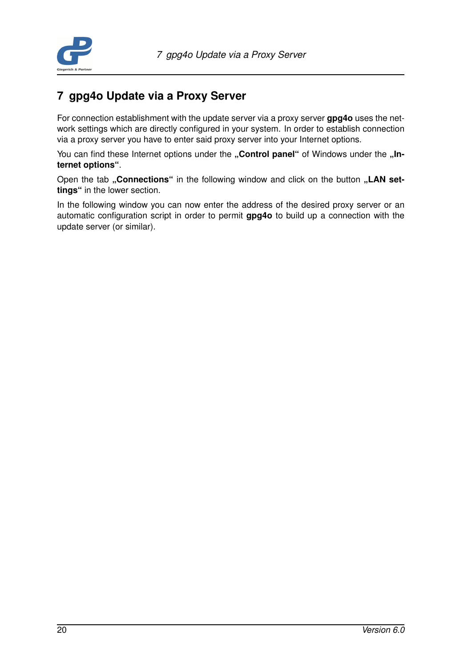

## <span id="page-21-0"></span>**7 gpg4o Update via a Proxy Server**

For connection establishment with the update server via a proxy server **gpg4o** uses the network settings which are directly configured in your system. In order to establish connection via a proxy server you have to enter said proxy server into your Internet options.

You can find these Internet options under the "Control panel" of Windows under the "In**ternet options"**.

Open the tab "Connections" in the following window and click on the button "LAN set**tings"** in the lower section.

In the following window you can now enter the address of the desired proxy server or an automatic configuration script in order to permit **gpg4o** to build up a connection with the update server (or similar).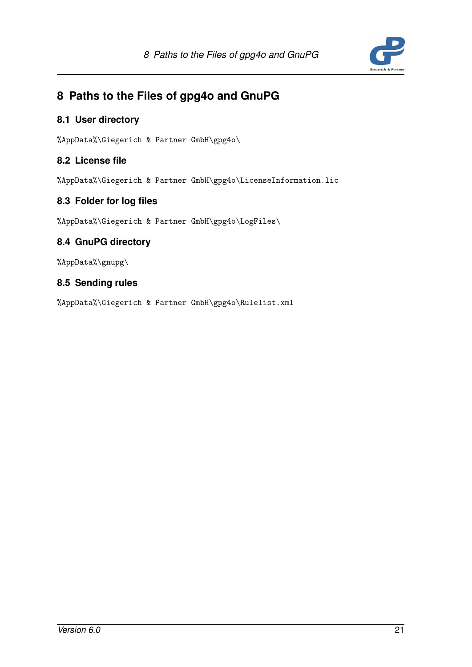

# <span id="page-22-0"></span>**8 Paths to the Files of gpg4o and GnuPG**

## <span id="page-22-1"></span>**8.1 User directory**

%AppData%\Giegerich & Partner GmbH\gpg4o\

## <span id="page-22-2"></span>**8.2 License file**

%AppData%\Giegerich & Partner GmbH\gpg4o\LicenseInformation.lic

## <span id="page-22-3"></span>**8.3 Folder for log files**

%AppData%\Giegerich & Partner GmbH\gpg4o\LogFiles\

## <span id="page-22-4"></span>**8.4 GnuPG directory**

%AppData%\gnupg\

## <span id="page-22-5"></span>**8.5 Sending rules**

%AppData%\Giegerich & Partner GmbH\gpg4o\Rulelist.xml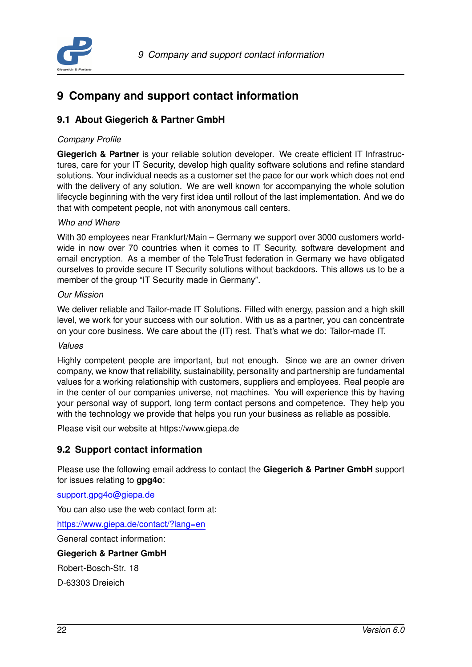

## <span id="page-23-0"></span>**9 Company and support contact information**

## <span id="page-23-1"></span>**9.1 About Giegerich & Partner GmbH**

### *Company Profile*

**Giegerich & Partner** is your reliable solution developer. We create efficient IT Infrastructures, care for your IT Security, develop high quality software solutions and refine standard solutions. Your individual needs as a customer set the pace for our work which does not end with the delivery of any solution. We are well known for accompanying the whole solution lifecycle beginning with the very first idea until rollout of the last implementation. And we do that with competent people, not with anonymous call centers.

### *Who and Where*

With 30 employees near Frankfurt/Main – Germany we support over 3000 customers worldwide in now over 70 countries when it comes to IT Security, software development and email encryption. As a member of the TeleTrust federation in Germany we have obligated ourselves to provide secure IT Security solutions without backdoors. This allows us to be a member of the group "IT Security made in Germany".

#### *Our Mission*

We deliver reliable and Tailor-made IT Solutions. Filled with energy, passion and a high skill level, we work for your success with our solution. With us as a partner, you can concentrate on your core business. We care about the (IT) rest. That's what we do: Tailor-made IT.

#### *Values*

Highly competent people are important, but not enough. Since we are an owner driven company, we know that reliability, sustainability, personality and partnership are fundamental values for a working relationship with customers, suppliers and employees. Real people are in the center of our companies universe, not machines. You will experience this by having your personal way of support, long term contact persons and competence. They help you with the technology we provide that helps you run your business as reliable as possible.

<span id="page-23-2"></span>Please visit our website at https://www.giepa.de

## **9.2 Support contact information**

Please use the following email address to contact the **Giegerich & Partner GmbH** support for issues relating to **gpg4o**:

[support.gpg4o@giepa.de](mailto: support.gpg4o@giepa.de)

You can also use the web contact form at:

<https://www.giepa.de/contact/?lang=en>

General contact information:

#### **Giegerich & Partner GmbH**

Robert-Bosch-Str. 18

D-63303 Dreieich